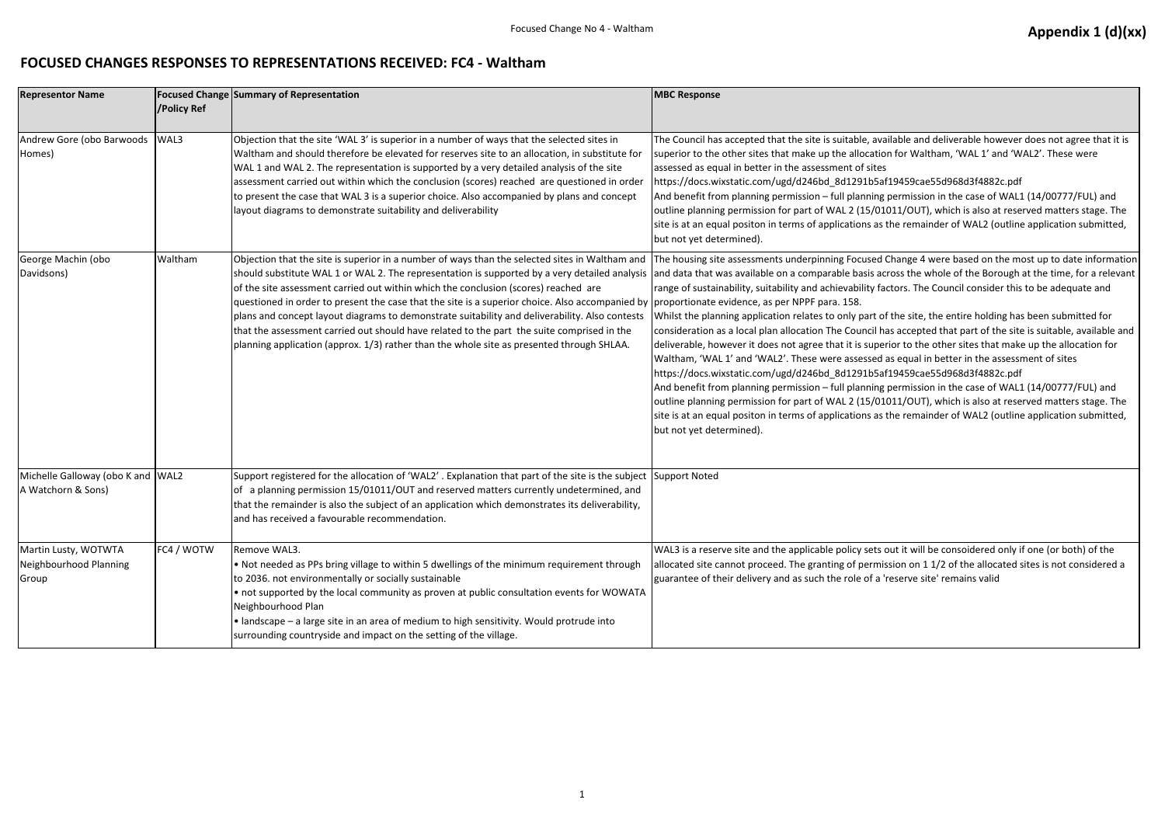## **FOCUSED CHANGES RESPONSES TO REPRESENTATIONS RECEIVED: FC4 - Waltham**

| <b>Representor Name</b>                                 | /Policy Ref | <b>Focused Change Summary of Representation</b>                                                                                                                                                                                                                                                                                                                                                                                                                                                                                                                                                                                                                                                                                       | <b>MBC Response</b>                                                                                                                                                                                                                                                                                                                                                                                                                                                                                                                                                                                                                                                            |
|---------------------------------------------------------|-------------|---------------------------------------------------------------------------------------------------------------------------------------------------------------------------------------------------------------------------------------------------------------------------------------------------------------------------------------------------------------------------------------------------------------------------------------------------------------------------------------------------------------------------------------------------------------------------------------------------------------------------------------------------------------------------------------------------------------------------------------|--------------------------------------------------------------------------------------------------------------------------------------------------------------------------------------------------------------------------------------------------------------------------------------------------------------------------------------------------------------------------------------------------------------------------------------------------------------------------------------------------------------------------------------------------------------------------------------------------------------------------------------------------------------------------------|
| Andrew Gore (obo Barwoods<br>Homes)                     | WAL3        | Objection that the site 'WAL 3' is superior in a number of ways that the selected sites in<br>Waltham and should therefore be elevated for reserves site to an allocation, in substitute for<br>WAL 1 and WAL 2. The representation is supported by a very detailed analysis of the site<br>assessment carried out within which the conclusion (scores) reached are questioned in order<br>to present the case that WAL 3 is a superior choice. Also accompanied by plans and concept<br>layout diagrams to demonstrate suitability and deliverability                                                                                                                                                                                | The Council has accepted that the site is suitable, ava<br>superior to the other sites that make up the allocation<br>assessed as equal in better in the assessment of sites<br>https://docs.wixstatic.com/ugd/d246bd_8d1291b5af<br>And benefit from planning permission - full planning<br>outline planning permission for part of WAL 2 (15/01<br>site is at an equal positon in terms of applications as t<br>but not yet determined).                                                                                                                                                                                                                                      |
| George Machin (obo<br>Davidsons)                        | Waltham     | Objection that the site is superior in a number of ways than the selected sites in Waltham and<br>should substitute WAL 1 or WAL 2. The representation is supported by a very detailed analysis<br>of the site assessment carried out within which the conclusion (scores) reached are<br>questioned in order to present the case that the site is a superior choice. Also accompanied by proportionate evidence, as per NPPF para. 158.<br>plans and concept layout diagrams to demonstrate suitability and deliverability. Also contests<br>that the assessment carried out should have related to the part the suite comprised in the<br>planning application (approx. 1/3) rather than the whole site as presented through SHLAA. | The housing site assessments underpinning Focused (<br>and data that was available on a comparable basis act<br>range of sustainability, suitability and achievability fac<br>Whilst the planning application relates to only part of<br>consideration as a local plan allocation The Council ha<br>deliverable, however it does not agree that it is super<br>Waltham, 'WAL 1' and 'WAL2'. These were assessed a<br>https://docs.wixstatic.com/ugd/d246bd_8d1291b5af<br>And benefit from planning permission - full planning<br>outline planning permission for part of WAL 2 (15/01<br>site is at an equal positon in terms of applications as t<br>but not yet determined). |
| Michelle Galloway (obo K and WAL2<br>A Watchorn & Sons) |             | Support registered for the allocation of 'WAL2'. Explanation that part of the site is the subject<br>of a planning permission 15/01011/OUT and reserved matters currently undetermined, and<br>that the remainder is also the subject of an application which demonstrates its deliverability,<br>and has received a favourable recommendation.                                                                                                                                                                                                                                                                                                                                                                                       | Support Noted                                                                                                                                                                                                                                                                                                                                                                                                                                                                                                                                                                                                                                                                  |
| Martin Lusty, WOTWTA<br>Neighbourhood Planning<br>Group | FC4 / WOTW  | Remove WAL3.<br>. Not needed as PPs bring village to within 5 dwellings of the minimum requirement through<br>to 2036. not environmentally or socially sustainable<br>• not supported by the local community as proven at public consultation events for WOWATA<br>Neighbourhood Plan<br>• landscape – a large site in an area of medium to high sensitivity. Would protrude into<br>surrounding countryside and impact on the setting of the village.                                                                                                                                                                                                                                                                                | WAL3 is a reserve site and the applicable policy sets o<br>allocated site cannot proceed. The granting of permis<br>guarantee of their delivery and as such the role of a 'r                                                                                                                                                                                                                                                                                                                                                                                                                                                                                                   |

vailable and deliverable however does not agree that it is tion for Waltham, 'WAL 1' and 'WAL2'. These were

5af19459cae55d968d3f4882c.pdf

ng permission in the case of WAL1 (14/00777/FUL) and 01011/OUT), which is also at reserved matters stage. The as the remainder of WAL2 (outline application submitted,

d Change 4 were based on the most up to date information across the whole of the Borough at the time, for a relevant factors. The Council consider this to be adequate and

of the site, the entire holding has been submitted for has accepted that part of the site is suitable, available and berior to the other sites that make up the allocation for d as equal in better in the assessment of sites 5af19459cae55d968d3f4882c.pdf

ng permission in the case of WAL1 (14/00777/FUL) and 01011/OUT), which is also at reserved matters stage. The as the remainder of WAL2 (outline application submitted,

s out it will be consoidered only if one (or both) of the mission on 1 1/2 of the allocated sites is not considered a reserve site' remains valid